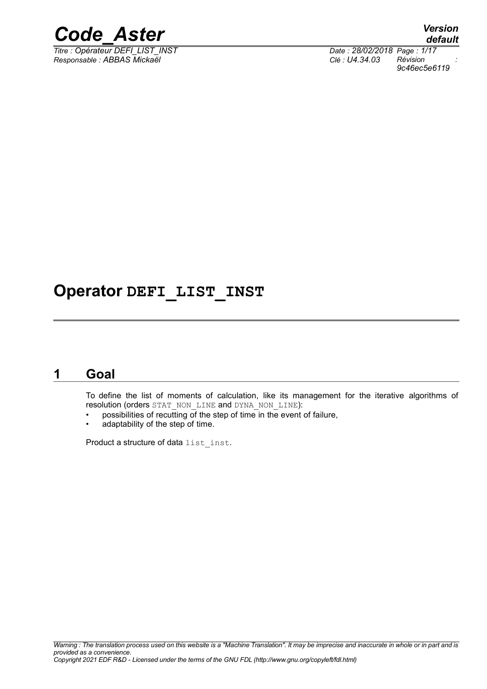

*Titre : Opérateur DEFI\_LIST\_INST Date : 28/02/2018 Page : 1/17 Responsable : ABBAS Mickaël Clé : U4.34.03 Révision :*

*default 9c46ec5e6119*

## **Operator DEFI\_LIST\_INST**

## **1 Goal**

<span id="page-0-0"></span>To define the list of moments of calculation, like its management for the iterative algorithms of resolution (orders STAT\_NON\_LINE and DYNA\_NON\_LINE):

- possibilities of recutting of the step of time in the event of failure,
- adaptability of the step of time.

Product a structure of data list inst.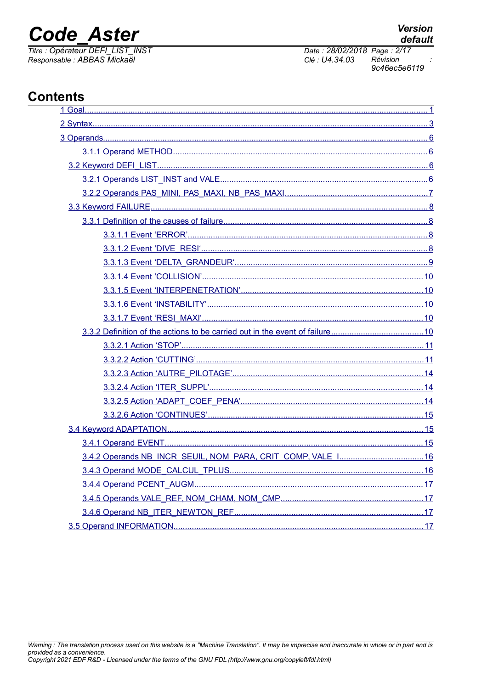## **Code Aster**

Titre : Opérateur DEFI\_LIST\_INST Responsable : ABBAS Mickaël

| Date: 28/02/2018 Page: 2/17 |              |  |
|-----------------------------|--------------|--|
| Clé : U4.34.03              | Révision     |  |
|                             | 9c46ec5e6119 |  |
|                             |              |  |

## **Contents**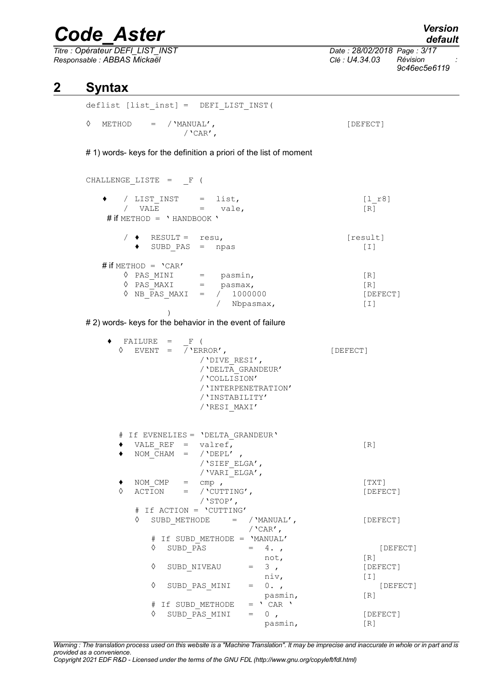*Titre : Opérateur DEFI\_LIST\_INST Date : 28/02/2018 Page : 3/17 Responsable : ABBAS Mickaël Clé : U4.34.03 Révision :*

*default 9c46ec5e6119*

## **2 Syntax**

<span id="page-2-0"></span>

| deflist [list inst] =  DEFI LIST INST(              |          |
|-----------------------------------------------------|----------|
| $\Diamond$ METHOD = / 'MANUAL',<br>$\prime$ 'CAR' . | [DEFECT] |

# 1) words- keys for the definition a priori of the list of moment

| CHALLENGE LISTE = F (                                                                                                                                                        |                             |
|------------------------------------------------------------------------------------------------------------------------------------------------------------------------------|-----------------------------|
| ◆ / LIST_INST = list,<br>/ VALE = vale,                                                                                                                                      | [1 r8]<br>$\lceil R \rceil$ |
| # if METHOD = 'HANDBOOK'                                                                                                                                                     |                             |
| / $\triangleleft$ RESULT = resu,<br>$\bullet$ SUBD PAS = npas                                                                                                                | [result]<br>[1]             |
| # if $METHOD = 'CAR'$                                                                                                                                                        |                             |
| $\Diamond$ PAS_MINI = pasmin,                                                                                                                                                | [R]                         |
|                                                                                                                                                                              | [R]                         |
| $\begin{array}{rclcl} \lozenge & \texttt{PAS\_MAXI} & = & \texttt{pasmax,} \\ \lozenge & \texttt{NB\_PAS\_MAXI} & = & / & 1000000 \\ & & / & \texttt{Nbpasmax,} \end{array}$ | [DEFECT]<br>$[\;1]$         |
| $\lambda$<br># 2) words- keys for the behavior in the event of failure                                                                                                       |                             |
|                                                                                                                                                                              |                             |
| $FAILURE = F ($<br>٠<br>$\Diamond$ EVENT = $\overline{/}$ 'ERROR',                                                                                                           |                             |
| /'DIVE RESI',                                                                                                                                                                | [DEFECT]                    |
| / 'DELTA GRANDEUR'                                                                                                                                                           |                             |
| /'COLLISION'                                                                                                                                                                 |                             |
| / 'INTERPENETRATION'                                                                                                                                                         |                             |
| / 'INSTABILITY'                                                                                                                                                              |                             |
| /'RESI MAXI'                                                                                                                                                                 |                             |
|                                                                                                                                                                              |                             |
| # If EVENELIES = 'DELTA GRANDEUR'                                                                                                                                            |                             |
| $\bullet$ VALE_REF = valref,                                                                                                                                                 | [R]                         |
| $NOM\_CHAM = / VDEPL'$ ,                                                                                                                                                     |                             |
| / 'SIEF_ELGA',                                                                                                                                                               |                             |
| / 'VARI ELGA',                                                                                                                                                               |                             |
| $NOM_CMP = cmP$ ,<br>♦                                                                                                                                                       | $[\texttt{TXT}]$            |
| $\begin{tabular}{lllll} \bf{ACTION} & = & / 'CUTTING' \; , \end{tabular}$                                                                                                    | [DEFECT]                    |
| / $'$ STOP $'$ ,<br># If ACTION = 'CUTTING'                                                                                                                                  |                             |
| $\Diamond \quad \texttt{SUBD\_METHODE} \quad = \quad / \; \texttt{MANUAL} \; ,$<br>/ $'$ CAR $'$ ,                                                                           | [DEFECT]                    |
| # If SUBD METHODE = 'MANUAL'                                                                                                                                                 |                             |
| ♦<br>SUBD PAS<br>$=$                                                                                                                                                         | [DEFECT]<br>4.7             |
|                                                                                                                                                                              | not,<br>[R]                 |
| ♦<br>SUBD NIVEAU<br>$=$                                                                                                                                                      | 3,<br>[DEFECT]              |
|                                                                                                                                                                              | niv,<br>[T]                 |
| ♦<br>$= 0.$ ,<br>SUBD PAS MINI                                                                                                                                               | [DEFECT]                    |
|                                                                                                                                                                              | pasmin,<br> R               |
| If SUBD_METHODE<br>$^{\#}$                                                                                                                                                   | $=$ ' CAR '                 |
| ♦<br>SUBD PAS MINI<br>$= 0,$                                                                                                                                                 | [DEFECT]                    |
|                                                                                                                                                                              | pasmin,<br>[R]              |

*Warning : The translation process used on this website is a "Machine Translation". It may be imprecise and inaccurate in whole or in part and is provided as a convenience.*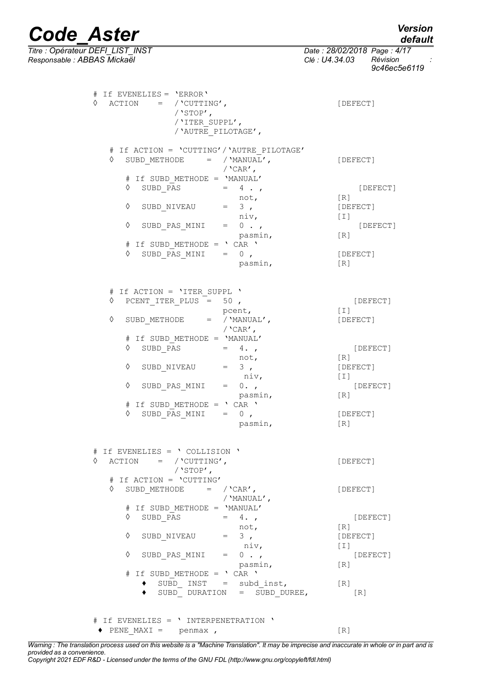*Titre : Opérateur DEFI\_LIST\_INST Date : 28/02/2018 Page : 4/17 Responsable : ABBAS Mickaël Clé : U4.34.03 Révision :*

*default*

*9c46ec5e6119*

| # If EVENELIES = 'ERROR'<br>$\Diamond$ ACTION = / 'CUTTING',<br>/ $'STOP'$ ,<br>/'ITER SUPPL',<br>/ 'AUTRE PILOTAGE', | [DEFECT]            |
|-----------------------------------------------------------------------------------------------------------------------|---------------------|
| # If ACTION = 'CUTTING' / 'AUTRE PILOTAGE'<br>$\Diamond$<br>SUBD METHODE = $/$ MANUAL',<br>/ $'$ CAR $'$ ,            | [DEFECT]            |
| # If SUBD METHODE = 'MANUAL'                                                                                          |                     |
| $\sqrt[3]{\begin{array}{c} 1 & 1 \\ \hline \text{SUBD} \end{array}}$ PAS<br>$= 4 \cdot ,$                             | [DEFECT]            |
|                                                                                                                       | $\lceil R \rceil$   |
| ♦                                                                                                                     | [DEFECT]            |
| SUBD_NIVEAU = $\begin{array}{ccc} 3, & \text{not,} \\ \text{sub\_NIVEAU} & = & 3, \\ \text{niiv,} \end{array}$        | $\lfloor 1 \rfloor$ |
| $\Diamond$ SUBD_PAS_MINI = 0.,                                                                                        | $[$ $DEFECT$ $]$    |
| pasmin,                                                                                                               | [R]                 |
| # If SUBD_METHODE = ' CAR '                                                                                           |                     |
| SUBD PAS MINI $= 0$ ,<br>$\Diamond$                                                                                   | [DEFECT]            |
| pasmin,                                                                                                               | [R]                 |
|                                                                                                                       |                     |
| # If ACTION = 'ITER SUPPL '                                                                                           |                     |
| $\texttt{PCENT\_ITER\_PLUS}$ = 50,<br>$\Diamond$                                                                      | [DEFECT]            |
| pcent,                                                                                                                | $[1]$               |
| SUBD METHODE = $\sqrt{\text{MANUAL}}$ ,<br>♦                                                                          | [DEFECT]            |
| / $'$ CAR $'$ ,                                                                                                       |                     |
| # If SUBD METHODE = 'MANUAL'                                                                                          |                     |
| $\Diamond$ SUBD PAS = 4.,                                                                                             | [DEFECT]            |
| not,                                                                                                                  | [R]                 |
| SUBD_NIVEAU = $3$ ,<br>niv,<br>♦                                                                                      | [DEFECT]            |
|                                                                                                                       | [T]                 |
| $SUBD_PAS_MINI = 0.$<br>♦                                                                                             | [DEFECT]            |
| pasmin,                                                                                                               | $\lceil R \rceil$   |
| # If SUBD METHODE = 'CAR '                                                                                            |                     |
| SUBD PAS MINI $= 0$ ,<br>♦                                                                                            | [DEFECT]            |
| pasmin,                                                                                                               | [R]                 |
|                                                                                                                       |                     |
| # If EVENELIES = ' COLLISION '                                                                                        |                     |
| $\text{ACTION}$ = / 'CUTTING',<br>♦                                                                                   | [DEFECT]            |
| / $'$ STOP $'$ ,                                                                                                      |                     |
| # If ACTION = 'CUTTING'                                                                                               |                     |
| SUBD_METHODE = / $'CAR'$ ,<br>♦                                                                                       | [DEFECT]            |
| / $'MANUAL'$ ,                                                                                                        |                     |
| # If SUBD METHODE = 'MANUAL'                                                                                          |                     |
| SUBD_PAS<br>$= 4.$<br>♦                                                                                               | [DEFECT]            |
| $\begin{array}{ccc} \texttt{SUBD\_NIVEAU} & = & \begin{array}{c} \texttt{not,} \\ 3 \end{array} \end{array}$          | $\lceil R \rceil$   |
| ♦                                                                                                                     | [DEFECT]            |
| niv,                                                                                                                  | [T]                 |
| $SUBD_PAS_MINI = 0 .$<br>♦                                                                                            | [DEFECT]            |
| pasmin,                                                                                                               | $\lceil R \rceil$   |
| # If SUBD METHODE = 'CAR '                                                                                            |                     |
| $\bullet$ SUBD INST = subd inst,                                                                                      | [R]                 |
| SUBD DURATION = SUBD DUREE, $[R]$                                                                                     |                     |
|                                                                                                                       |                     |
| # If EVENELIES = ' INTERPENETRATION '                                                                                 |                     |
| $\bullet$ PENE MAXI = penmax,                                                                                         | $\lceil R \rceil$   |
|                                                                                                                       |                     |

*Warning : The translation process used on this website is a "Machine Translation". It may be imprecise and inaccurate in whole or in part and is provided as a convenience. Copyright 2021 EDF R&D - Licensed under the terms of the GNU FDL (http://www.gnu.org/copyleft/fdl.html)*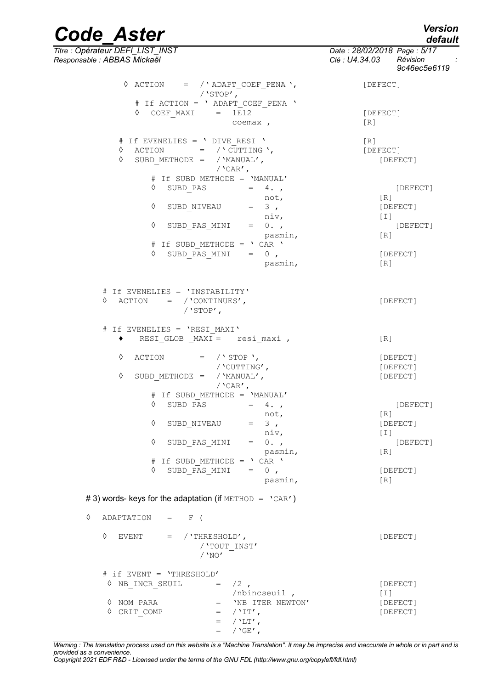*default*

# *Code\_Aster Version*

*Titre : Opérateur DEFI\_LIST\_INST Date : 28/02/2018 Page : 5/17 Responsable : ABBAS Mickaël Clé : U4.34.03 Révision :*

*9c46ec5e6119*

 $\Diamond$  ACTION = /'ADAPT COEF PENA ', [DEFECT] /'STOP', # If ACTION = ' ADAPT\_COEF\_PENA '  $\sqrt{CDEF}$  MAXI = 1E12 [DEFECT] coemax , [R]  $#$  If EVENELIES = ' DIVE\_RESI ' [R]<br>  $\Diamond$  ACTION = /' CUTTING', [DEFECT]  $\hat{\circ}$  ACTION = /' CUTTING', ◊ SUBD\_METHODE = /'MANUAL', [DEFECT] /'CAR $'$ , # If SUBD\_METHODE = 'MANUAL'  $\Diamond$  SUBD PAS = 4. , [DEFECT] not,  $[R]$ <br>= 3,  $[DE$  $\Diamond$  SUBD NIVEAU = 3, niv, [I]<br>0., [DEFECT]  $\Diamond$  SUBD PAS MINI = 0., pasmin, [R] # If SUBD\_METHODE = ' CAR '  $\sqrt{}$  SUBD PAS MINI = 0 , [DEFECT] pasmin, [R] # If EVENELIES = 'INSTABILITY' ◊ ACTION = /'CONTINUES', [DEFECT] /'STOP', # If EVENELIES = 'RESI\_MAXI'  $\bullet$  RESIGLOB MAXI = resimaxi , [R]  $\Diamond$  ACTION = /'STOP', [DEFECT] /'CUTTING', [DEFECT] ◊ SUBD\_METHODE = /'MANUAL', [DEFECT] /'CAR $^{\prime}$ , # If SUBD\_METHODE =  $'$ MANUAL'<br>
0 SUBD PAS = 4.,  $\Diamond$  SUBD PAS = 4. ,  $[DEFECT]$ not, [R]  $\Diamond$  SUBD NIVEAU = 3, niv, [I]  $\Diamond$  SUBD PAS MINI = 0. , [DEFECT] pasmin, [R] # If SUBD\_METHODE = ' CAR '  $\Diamond$  SUBD PAS MINI = 0 , [DEFECT] pasmin, [R] # 3) words- keys for the adaptation (if  $METHOD = 'CAR'$ ) ◊ ADAPTATION = \_F ( ◊ EVENT = /'THRESHOLD', [DEFECT] /'TOUT\_INST' /'NO'  $#$  if EVENT = 'THRESHOLD'<br>  $\Diamond$  NB INCR SEUIL = /2,  $\Diamond$  NB INCR SEUIL  $=$   $/2$  ,  $[DEFECT]$ /nbincseuil , [I]<br>NB ITER NEWTON' (DEFECT)  $\Diamond$  NOM PARA  $=$  'NB ITER NEWTON'

*Warning : The translation process used on this website is a "Machine Translation". It may be imprecise and inaccurate in whole or in part and is provided as a convenience. Copyright 2021 EDF R&D - Licensed under the terms of the GNU FDL (http://www.gnu.org/copyleft/fdl.html)*

 $=$  /  $'$ LT',  $=$  /  $'GE'$ ,

 $\Diamond$  CRIT COMP = /'IT',  $[DEFect]$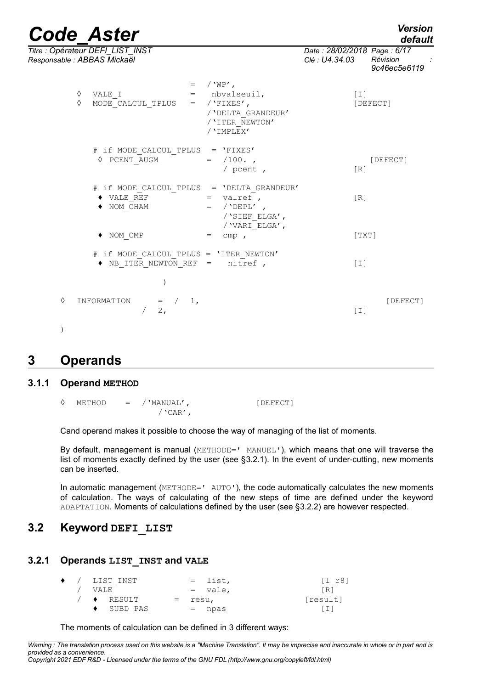## *Code\_Aster Version Titre : Opérateur DEFI\_LIST\_INST Date : 28/02/2018 Page : 6/17*

*default*

| Responsable : ABBAS Mickaël |        |                                                                                                   |                                                                      | Clé : U4.34.03    | Révision<br>9c46ec5e6119 |
|-----------------------------|--------|---------------------------------------------------------------------------------------------------|----------------------------------------------------------------------|-------------------|--------------------------|
|                             | ♦<br>♦ | VALE I $=$ nbvalseuil,<br>MODE CALCUL TPLUS = $/$ 'FIXES',                                        | $=$ / $'WP'$ ,<br>/ 'DELTA GRANDEUR'<br>/ 'ITER NEWTON'<br>/'IMPLEX' | $[1]$             | [DEFECT]                 |
|                             |        | # if MODE CALCUL TPLUS = 'FIXES'<br>$\Diamond$ PCENT AUGM                                         | $=$ /100.,<br>/ $pcent$ ,                                            | $\lceil R \rceil$ | [DEFECT]                 |
|                             |        | # if MODE_CALCUL_TPLUS = 'DELTA_GRANDEUR'<br>$\blacklozenge$ VALE REF<br>$\blacklozenge$ NOM CHAM | $=$ valref,<br>$=$ / 'DEPL',<br>/'SIEF ELGA',<br>/ 'VARI ELGA',      | $\lceil R \rceil$ |                          |
|                             |        | NOM CMP                                                                                           | cmp,<br>$=$ $\qquad$                                                 | [TXT]             |                          |
|                             |        | # if MODE_CALCUL_TPLUS = 'ITER_NEWTON'<br>$\bullet$ NB_ITER_NEWTON_REF = nitref,                  |                                                                      | $\lceil 1 \rceil$ |                          |
|                             |        |                                                                                                   |                                                                      |                   |                          |
| ♦                           |        | INFORMATION<br>$=$ $/$ 1,<br>2 <sub>r</sub>                                                       |                                                                      | [I]               | [DEFECT]                 |
|                             |        |                                                                                                   |                                                                      |                   |                          |

### <span id="page-5-3"></span>**3 Operands**

#### **3.1.1 Operand METHOD**

<span id="page-5-2"></span> $\Diamond$  METHOD = / 'MANUAL',  $[DEFECT]$  $/$ 'CAR $'$ ,

Cand operand makes it possible to choose the way of managing of the list of moments.

By default, management is manual (METHODE=' MANUEL'), which means that one will traverse the list of moments exactly defined by the user (see [§3.2.1\)](#page-5-0). In the event of under-cutting, new moments can be inserted.

In automatic management (METHODE=' AUTO'), the code automatically calculates the new moments of calculation. The ways of calculating of the new steps of time are defined under the keyword ADAPTATION. Moments of calculations defined by the user (see [§3.2.2\)](#page-6-0) are however respected.

### <span id="page-5-1"></span>**3.2 Keyword DEFI\_LIST**

#### **3.2.1 Operands LIST\_INST and VALE**

<span id="page-5-0"></span>

| $\bullet$ / | LIST INST<br>VALE |                        | $=$ list, |           | [1 r8]   |  |  |
|-------------|-------------------|------------------------|-----------|-----------|----------|--|--|
|             |                   |                        |           | $=$ vale, | [R]      |  |  |
|             |                   | $\blacklozenge$ RESULT | $=$ resu, |           | [result] |  |  |
|             |                   | SUBD PAS               |           | $=$ npas  | 1 I I    |  |  |

The moments of calculation can be defined in 3 different ways:

*Warning : The translation process used on this website is a "Machine Translation". It may be imprecise and inaccurate in whole or in part and is provided as a convenience. Copyright 2021 EDF R&D - Licensed under the terms of the GNU FDL (http://www.gnu.org/copyleft/fdl.html)*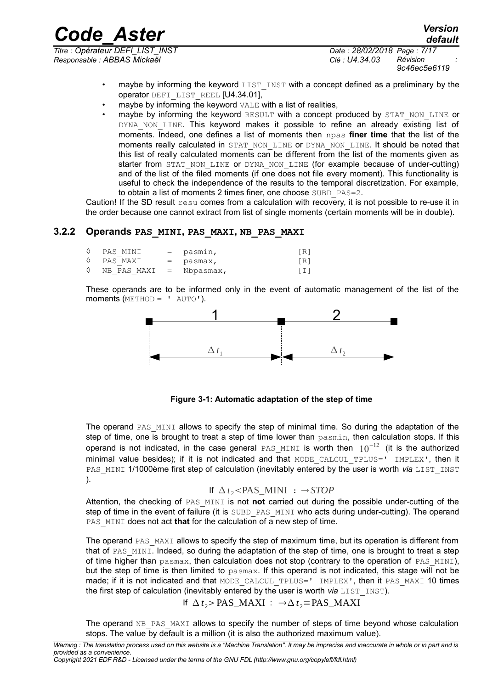*Titre : Opérateur DEFI\_LIST\_INST Date : 28/02/2018 Page : 7/17 Responsable : ABBAS Mickaël Clé : U4.34.03 Révision :*

*9c46ec5e6119*

*default*

maybe by informing the keyword LIST INST with a concept defined as a preliminary by the operator DEFI\_LIST\_REEL [U4.34.01],

*Code\_Aster Version*

- maybe by informing the keyword  $VALE$  with a list of realities.
- maybe by informing the keyword RESULT with a concept produced by STAT NON LINE or DYNA NON LINE. This keyword makes it possible to refine an already existing list of moments. Indeed, one defines a list of moments then npas **finer time** that the list of the moments really calculated in STAT\_NON\_LINE or DYNA\_NON\_LINE. It should be noted that this list of really calculated moments can be different from the list of the moments given as starter from STAT\_NON\_LINE or DYNA\_NON\_LINE (for example because of under-cutting) and of the list of the filed moments (if one does not file every moment). This functionality is useful to check the independence of the results to the temporal discretization. For example, to obtain a list of moments 2 times finer, one choose SUBD\_PAS=2.

Caution! If the SD result resu comes from a calculation with recovery, it is not possible to re-use it in the order because one cannot extract from list of single moments (certain moments will be in double).

#### **3.2.2 Operands PAS\_MINI, PAS\_MAXI, NB\_PAS\_MAXI**

<span id="page-6-0"></span>

| $\Diamond$ PAS MINI                | $=$ pasmin, | $\lceil R \rceil$ |
|------------------------------------|-------------|-------------------|
| ♦ PAS MAXI                         | = pasmax,   | $[R]$             |
| $\Diamond$ NB PAS MAXI = Nbpasmax, |             | $\lceil 1 \rceil$ |

These operands are to be informed only in the event of automatic management of the list of the moments (METHOD = ' AUTO').



**Figure 3-1: Automatic adaptation of the step of time**

The operand PAS MINI allows to specify the step of minimal time. So during the adaptation of the step of time, one is brought to treat a step of time lower than pasmin, then calculation stops. If this operand is not indicated, in the case general PAS MINI is worth then  $10^{-12}$  (it is the authorized minimal value besides); if it is not indicated and that MODE\_CALCUL\_TPLUS=' IMPLEX', then it PAS\_MINI 1/1000ème first step of calculation (inevitably entered by the user is worth *via* LIST\_INST ).

#### If  $\Delta t$ <sub>2</sub> < PAS MINI :  $\rightarrow$  *STOP*

Attention, the checking of PAS\_MINI is not **not** carried out during the possible under-cutting of the step of time in the event of failure (it is SUBD PAS MINI who acts during under-cutting). The operand PAS MINI does not act that for the calculation of a new step of time.

The operand PAS MAXI allows to specify the step of maximum time, but its operation is different from that of PAS MINI. Indeed, so during the adaptation of the step of time, one is brought to treat a step of time higher than  $p_{\text{asmax}}$ , then calculation does not stop (contrary to the operation of PAS MINI), but the step of time is then limited to pasmax. If this operand is not indicated, this stage will not be made; if it is not indicated and that MODE CALCUL TPLUS=' IMPLEX', then it PAS\_MAXI 10 times the first step of calculation (inevitably entered by the user is worth *via* LIST\_INST).

If  $\Delta t_2$ >PAS\_MAXI :  $\rightarrow \Delta t_2$ =PAS\_MAXI

The operand NB PAS MAXI allows to specify the number of steps of time beyond whose calculation stops. The value by default is a million (it is also the authorized maximum value).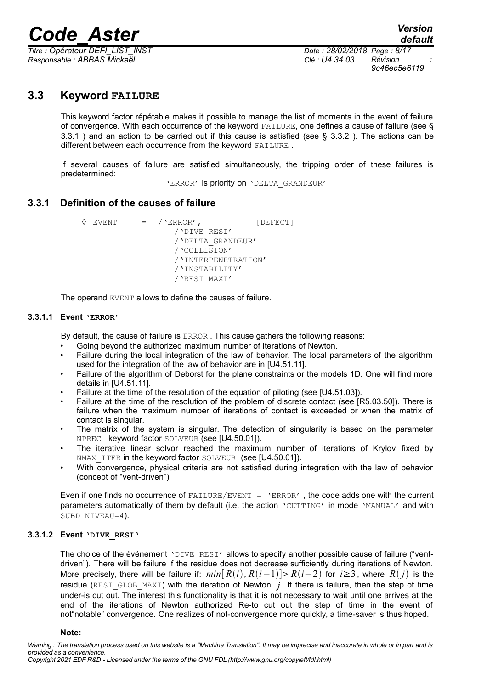*Titre : Opérateur DEFI\_LIST\_INST Date : 28/02/2018 Page : 8/17 Responsable : ABBAS Mickaël Clé : U4.34.03 Révision :*

*9c46ec5e6119*

### **3.3 Keyword FAILURE**

<span id="page-7-3"></span>This keyword factor répétable makes it possible to manage the list of moments in the event of failure of convergence. With each occurrence of the keyword FAILURE, one defines a cause of failure (see § [3.3.1](#page-7-2) ) and an action to be carried out if this cause is satisfied (see § [3.3.2](#page-9-0) ). The actions can be different between each occurrence from the keyword FAILURE .

If several causes of failure are satisfied simultaneously, the tripping order of these failures is predetermined:

'ERROR' is priority on 'DELTA\_GRANDEUR'

#### **3.3.1 Definition of the causes of failure**

<span id="page-7-2"></span> $\Diamond$  EVENT = / 'ERROR',  $[DEFECT]$ /'DIVE\_RESI' /'DELTA\_GRANDEUR' /'COLLISION' /'INTERPENETRATION' /'INSTABILITY' /'RESI\_MAXI'

<span id="page-7-1"></span>The operand EVENT allows to define the causes of failure.

#### **3.3.1.1 Event 'ERROR'**

By default, the cause of failure is ERROR . This cause gathers the following reasons:

- Going beyond the authorized maximum number of iterations of Newton.
- Failure during the local integration of the law of behavior. The local parameters of the algorithm used for the integration of the law of behavior are in [U4.51.11].
- Failure of the algorithm of Deborst for the plane constraints or the models 1D. One will find more details in [U4.51.11].
- Failure at the time of the resolution of the equation of piloting (see [U4.51.03]).
- Failure at the time of the resolution of the problem of discrete contact (see [R5.03.50]). There is failure when the maximum number of iterations of contact is exceeded or when the matrix of contact is singular.
- The matrix of the system is singular. The detection of singularity is based on the parameter NPREC keyword factor SOLVEUR (see [U4.50.01]).
- The iterative linear solvor reached the maximum number of iterations of Krylov fixed by NMAX ITER in the keyword factor SOLVEUR (see [U4.50.01]).
- With convergence, physical criteria are not satisfied during integration with the law of behavior (concept of "vent-driven")

Even if one finds no occurrence of  $FAILURE/EVERT = 'ERROR'$ , the code adds one with the current parameters automatically of them by default (i.e. the action 'CUTTING' in mode 'MANUAL' and with SUBD\_NIVEAU=4).

#### **3.3.1.2 Event 'DIVE\_RESI'**

<span id="page-7-0"></span>The choice of the événement 'DIVE\_RESI' allows to specify another possible cause of failure ("ventdriven"). There will be failure if the residue does not decrease sufficiently during iterations of Newton. More precisely, there will be failure if:  $min[R(i), R(i-1)] > R(i-2)$  for  $i \ge 3$ , where  $R(j)$  is the residue (RESI GLOB MAXI) with the iteration of Newton  $j$ . If there is failure, then the step of time under-is cut out. The interest this functionality is that it is not necessary to wait until one arrives at the end of the iterations of Newton authorized Re-to cut out the step of time in the event of not"notable" convergence. One realizes of not-convergence more quickly, a time-saver is thus hoped.

#### **Note:**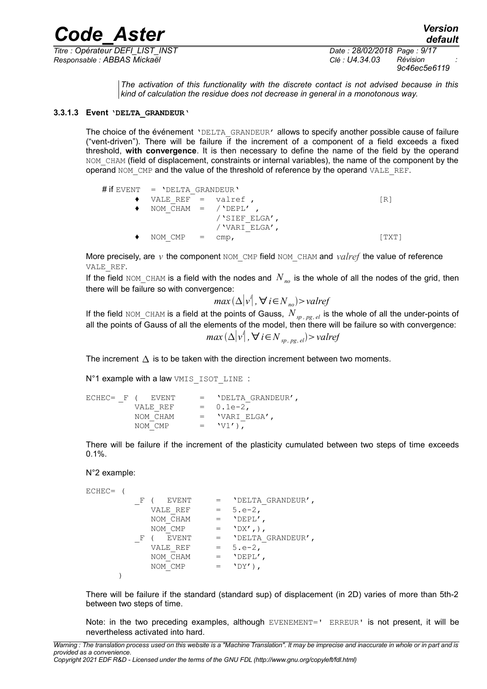*Titre : Opérateur DEFI\_LIST\_INST Date : 28/02/2018 Page : 9/17 Responsable : ABBAS Mickaël Clé : U4.34.03 Révision :*

*default*

*The activation of this functionality with the discrete contact is not advised because in this kind of calculation the residue does not decrease in general in a monotonous way.*

#### **3.3.1.3 Event 'DELTA\_GRANDEUR'**

<span id="page-8-0"></span>The choice of the événement 'DELTA GRANDEUR' allows to specify another possible cause of failure ("vent-driven"). There will be failure if the increment of a component of a field exceeds a fixed threshold, **with convergence**. It is then necessary to define the name of the field by the operand NOM CHAM (field of displacement, constraints or internal variables), the name of the component by the operand NOM CMP and the value of the threshold of reference by the operand VALE\_REF.

*Code\_Aster Version*

| # if EVENT $=$ 'DELTA GRANDEUR'    |                    |       |
|------------------------------------|--------------------|-------|
| $\bullet$ VALE REF = valref,       |                    | [R]   |
| $\rightarrow$ NOM CHAM = / 'DEPL', |                    |       |
|                                    | /'SIEF ELGA',      |       |
|                                    | / 'VARI ELGA',     |       |
| NOM CMP                            | $=$ $\text{cmp}$ , | [TXT] |

More precisely, are  $v$  the component NOM CMP field NOM CHAM and  $valref$  the value of reference VALE\_REF.

If the field NOM\_CHAM is a field with the nodes and  $N_{n_0}$  is the whole of all the nodes of the grid, then there will be failure so with convergence:

$$
max\left(\Delta\left|v^{i}\right|,\forall i\in N_{no}\right)>valref
$$

If the field NOM\_CHAM is a field at the points of Gauss,  $N_{sp, pg, el}$  is the whole of all the under-points of all the points of Gauss of all the elements of the model, then there will be failure so with convergence:  $max(\Delta |v^i|, \forall i \in N$   $_{sp,pg,el})$  >  $valref$ 

The increment  $\Delta$  is to be taken with the direction increment between two moments.

N°1 example with a law VMIS ISOT LINE :

| $ECHEC = F ( EVENT)$ |          | $=$ 'DELTA GRANDEUR', |
|----------------------|----------|-----------------------|
|                      | VALE REF | $= 0.1e-2$ ,          |
|                      | NOM CHAM | $=$ 'VARI ELGA',      |
|                      | NOM CMP  | $=$ $\forall 1$ ,     |

There will be failure if the increment of the plasticity cumulated between two steps of time exceeds 0.1%.

#### N°2 example:

```
ECHEC= (
               F ( EVENT = 'DELTA_GRANDEUR',<br>VALE REF = 5.e-2.
                   VALE_REF = 5.e-2,<br>NOM CHAM = 'DEFL',
                   NOM_CHAM = 'DEFL',<br>NOM_CMP = 'DX',,
               \begin{array}{ccc} &\text{NOM\_CMP} & = \\ \text{F} & \text{EVENT} & = \end{array}= 'DELTA GRANDEUR',
                   VALE REF = 5.e-2,NOM \overline{CHAM} = 'DEPL',
                   NOM CMP = 'DY'),
          )
```
There will be failure if the standard (standard sup) of displacement (in 2D) varies of more than 5th-2 between two steps of time.

Note: in the two preceding examples, although EVENEMENT=' ERREUR' is not present, it will be nevertheless activated into hard.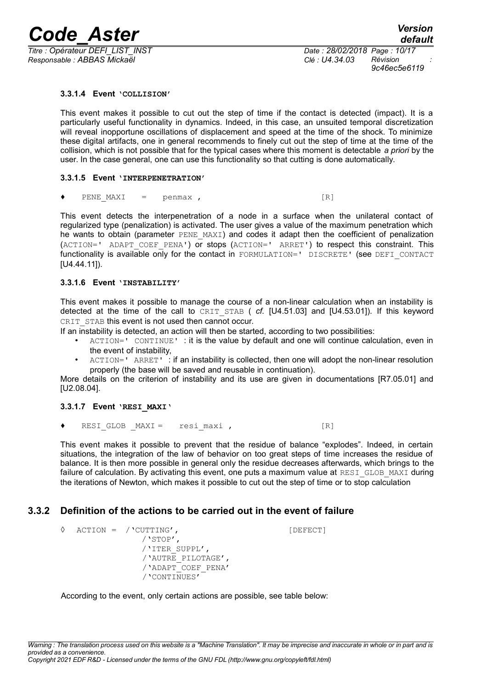*Responsable : ABBAS Mickaël Clé : U4.34.03 Révision :*

*Titre : Opérateur DEFI\_LIST\_INST Date : 28/02/2018 Page : 10/17 9c46ec5e6119*

#### <span id="page-9-4"></span>**3.3.1.4 Event 'COLLISION'**

This event makes it possible to cut out the step of time if the contact is detected (impact). It is a particularly useful functionality in dynamics. Indeed, in this case, an unsuited temporal discretization will reveal inopportune oscillations of displacement and speed at the time of the shock. To minimize these digital artifacts, one in general recommends to finely cut out the step of time at the time of the collision, which is not possible that for the typical cases where this moment is detectable *a priori* by the user. In the case general, one can use this functionality so that cutting is done automatically.

#### <span id="page-9-3"></span>**3.3.1.5 Event 'INTERPENETRATION'**

 $\blacklozenge$  PENE MAXI = penmax , [R]

This event detects the interpenetration of a node in a surface when the unilateral contact of regularized type (penalization) is activated. The user gives a value of the maximum penetration which he wants to obtain (parameter  $PENE$  MAXI) and codes it adapt then the coefficient of penalization (ACTION=' ADAPT COEF PENA') or stops (ACTION=' ARRET') to respect this constraint. This functionality is available only for the contact in FORMULATION=' DISCRETE' (see DEFI CONTACT [U4.44.11]).

#### <span id="page-9-2"></span>**3.3.1.6 Event 'INSTABILITY'**

This event makes it possible to manage the course of a non-linear calculation when an instability is detected at the time of the call to CRIT STAB ( *cf.* [U4.51.03] and [U4.53.01]). If this keyword CRIT STAB this event is not used then cannot occur.

If an instability is detected, an action will then be started, according to two possibilities:

- ACTION=' CONTINUE' : it is the value by default and one will continue calculation, even in the event of instability,
- ACTION=' ARRET' : if an instability is collected, then one will adopt the non-linear resolution properly (the base will be saved and reusable in continuation).

More details on the criterion of instability and its use are given in documentations [R7.05.01] and [U2.08.04].

#### <span id="page-9-1"></span>**3.3.1.7 Event 'RESI\_MAXI'**

 $RESI$  GLOB  $MAXI =$  resimaxi , [R]

This event makes it possible to prevent that the residue of balance "explodes". Indeed, in certain situations, the integration of the law of behavior on too great steps of time increases the residue of balance. It is then more possible in general only the residue decreases afterwards, which brings to the failure of calculation. By activating this event, one puts a maximum value at RESI GLOB MAXI during the iterations of Newton, which makes it possible to cut out the step of time or to stop calculation

#### **3.3.2 Definition of the actions to be carried out in the event of failure**

<span id="page-9-0"></span>◊ ACTION = /'CUTTING', [DEFECT] /'STOP', /'ITER\_SUPPL', /'AUTRE\_PILOTAGE', /'ADAPT\_COEF\_PENA' /'CONTINUES'

According to the event, only certain actions are possible, see table below: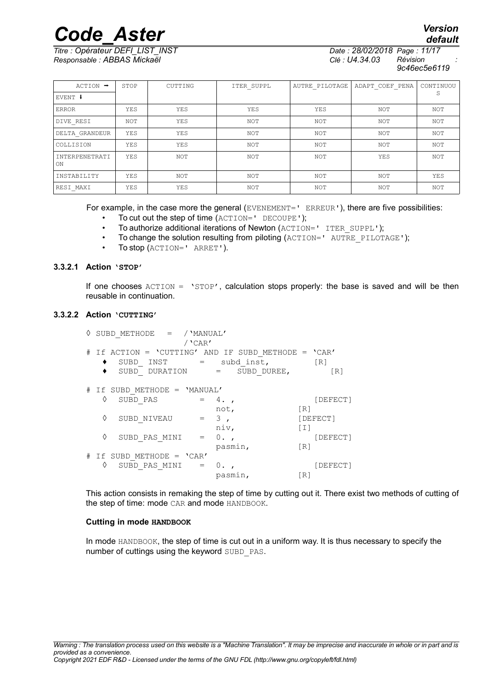*Code\_Aster Version Titre : Opérateur DEFI\_LIST\_INST Date : 28/02/2018 Page : 11/17 Responsable : ABBAS Mickaël Clé : U4.34.03 Révision :*

*9c46ec5e6119*

*default*

| $ACTION$ $\rightarrow$ | STOP | CUTTING | ITER SUPPL | AUTRE PILOTAGE | ADAPT COEF PENA | CONTINUOU |
|------------------------|------|---------|------------|----------------|-----------------|-----------|
| EVENT ↓                |      |         |            |                |                 | S         |
| <b>ERROR</b>           | YES  | YES     | YES        | YES            | NOT             | NOT       |
| DIVE RESI              | NOT  | YES     | <b>NOT</b> | NOT            | NOT             | NOT       |
| DELTA GRANDEUR         | YES  | YES     | NOT        | NOT            | NOT             | NOT       |
| COLLISION              | YES  | YES     | <b>NOT</b> | NOT            | NOT             | NOT       |
| INTERPENETRATI<br>  ON | YES  | NOT     | <b>NOT</b> | NOT            | YES             | NOT       |
| INSTABILITY            | YES  | NOT     | NOT        | NOT            | NOT             | YES       |
| RESI MAXI              | YES  | YES     | <b>NOT</b> | NOT            | NOT             | NOT       |

For example, in the case more the general (EVENEMENT=' ERREUR'), there are five possibilities:

- To cut out the step of time (ACTION=' DECOUPE');
- To authorize additional iterations of Newton (ACTION=' ITER\_SUPPL');
- To change the solution resulting from piloting  $(ACTION = 'AUTRE PILOTAGE')$ ;
- To stop (ACTION=' ARRET').

#### **3.3.2.1 Action 'STOP'**

<span id="page-10-1"></span>If one chooses  $ACTION = 'STOP', calculation stops properly: the base is saved and will be then$ reusable in continuation.

#### **3.3.2.2 Action 'CUTTING'**

<span id="page-10-0"></span>

|   |   | SUBD METHODE $=$ / 'MANUAL' | $/$ 'CAR' |                                                   |                   |                   |
|---|---|-----------------------------|-----------|---------------------------------------------------|-------------------|-------------------|
|   |   |                             |           | If ACTION = 'CUTTING' AND IF SUBD METHODE = 'CAR' |                   |                   |
|   |   | SUBD INST =                 |           | subd inst,                                        |                   | [R]               |
|   |   | SUBD DURATION =             |           | SUBD DUREE,                                       |                   | $\lceil R \rceil$ |
| # |   | If SUBD METHODE = 'MANUAL'  |           |                                                   |                   |                   |
|   | ♦ | SUBD PAS                    |           | 4.,                                               |                   | [DEFECT]          |
|   |   |                             |           | not,                                              | [R]               |                   |
|   | ♦ | SUBD NIVEAU                 |           | $= 3$ ,                                           |                   | [DEFECT]          |
|   |   |                             |           | niv,                                              | $\lceil 1 \rceil$ |                   |
|   | ♦ | SUBD PAS MINI               |           | $0.$ ,                                            |                   | [DEFECT]          |
|   |   |                             |           | pasmin,                                           | $\lceil R \rceil$ |                   |
|   |   | If SUBD METHODE = $'CAR'$   |           |                                                   |                   |                   |
|   | ♦ | SUBD PAS MINI               | $=$       |                                                   |                   | [DEFECT]          |
|   |   |                             |           | pasmin,                                           | [R]               |                   |

This action consists in remaking the step of time by cutting out it. There exist two methods of cutting of the step of time: mode CAR and mode HANDBOOK.

#### **Cutting in mode HANDBOOK**

In mode HANDBOOK, the step of time is cut out in a uniform way. It is thus necessary to specify the number of cuttings using the keyword SUBD\_PAS.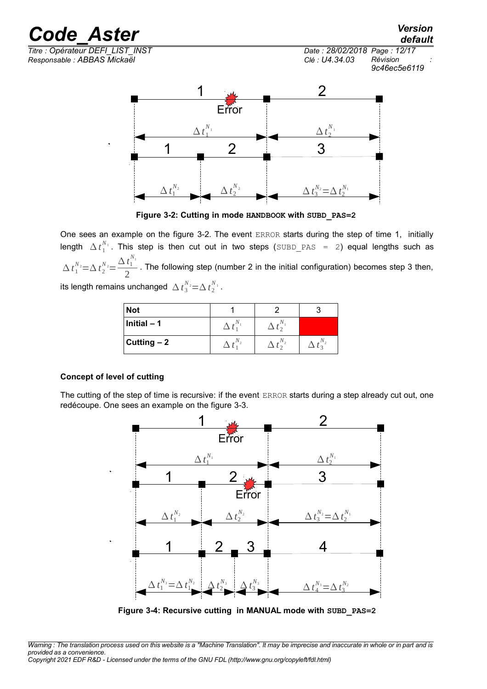

*Responsable : ABBAS Mickaël Clé : U4.34.03 Révision :*

*The : 28/02/2018 Page : 12/17*<br>*Clé : U4.34.03 Révision 9c46ec5e6119*



<span id="page-11-0"></span>**Figure 3-2: Cutting in mode HANDBOOK with SUBD\_PAS=2**

One sees an example on the figure [3-2.](#page-11-0) The event ERROR starts during the step of time 1, initially length  $\Delta t_1^{N_1}$ . This step is then cut out in two steps (SUBD\_PAS = 2) equal lengths such as  $\Delta t_1^{N_2} = \Delta t_2^{N_2} = \frac{\Delta t_1^{N_1}}{2}$ 2 . The following step (number 2 in the initial configuration) becomes step 3 then, its length remains unchanged  $\Delta\, t_3^{\,N_2} {=} \Delta\, t_2^{\,N_1}\,.$ 

| Not                 |  |  |
|---------------------|--|--|
| $\vert$ Initial - 1 |  |  |
| $ $ Cutting $-2$    |  |  |

#### **Concept of level of cutting**

The cutting of the step of time is recursive: if the event ERROR starts during a step already cut out, one redécoupe. One sees an example on the figure 3-3.



Figure 3-4: Recursive cutting in MANUAL mode with **SUBD** PAS=2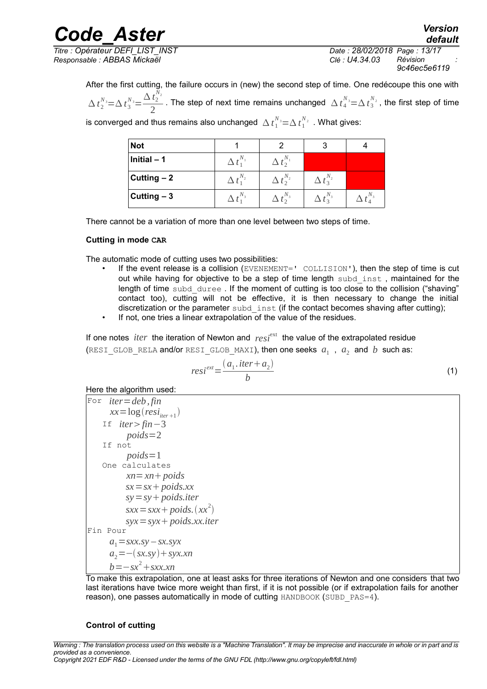*Titre : Opérateur DEFI\_LIST\_INST Date : 28/02/2018 Page : 13/17 Responsable : ABBAS Mickaël Clé : U4.34.03 Révision :*

*9c46ec5e6119*

*default*

After the first cutting, the failure occurs in (new) the second step of time. One redécoupe this one with  $\Delta t_2^{N_3} = \Delta t_3^{N_3} = \frac{\Delta t_2^{N_2}}{2}$  $\frac{I_2}{2}$ . The step of next time remains unchanged  $\Delta t_4^{N_3} = \Delta t_3^{N_2}$ , the first step of time is converged and thus remains also unchanged  $\Delta\,t_1^{N_3}$   $\!\equiv$   $\!\Delta\,t_1^{N_2}$  . What gives:

*Code\_Aster Version*

| <b>Not</b>   |                    |                              |  |
|--------------|--------------------|------------------------------|--|
| Initial $-1$ | $\Delta t_2^{N_1}$ |                              |  |
| Cutting $-2$ | $\Delta t_2^{N_2}$ | $\Delta t_3^{\frac{N_2}{2}}$ |  |
| Cutting $-3$ |                    | $\Delta \, t_{3}^{N_{3}}$    |  |

There cannot be a variation of more than one level between two steps of time.

#### **Cutting in mode CAR**

The automatic mode of cutting uses two possibilities:

If the event release is a collision (EVENEMENT=' COLLISION'), then the step of time is cut out while having for objective to be a step of time length subd inst, maintained for the length of time subd duree. If the moment of cutting is too close to the collision ("shaving" contact too), cutting will not be effective, it is then necessary to change the initial discretization or the parameter subd inst (if the contact becomes shaving after cutting);

If not, one tries a linear extrapolation of the value of the residues.

If one notes *iter* the iteration of Newton and  $resi^{ext}$  the value of the extrapolated residue  $( \texttt{RESI\_GLOB\_RELA}$  and/or  $\texttt{RESI\_GLOB\_MAXI} )$ , then one seeks  $|a_1|$  ,  $|a_2|$  and  $|b|$  such as:

$$
resi^{ext} = \frac{(a_1.iter + a_2)}{b}
$$
 (1)

#### Here the algorithm used:



To make this extrapolation, one at least asks for three iterations of Newton and one considers that two last iterations have twice more weight than first, if it is not possible (or if extrapolation fails for another reason), one passes automatically in mode of cutting HANDBOOK (SUBD PAS=4).

#### **Control of cutting**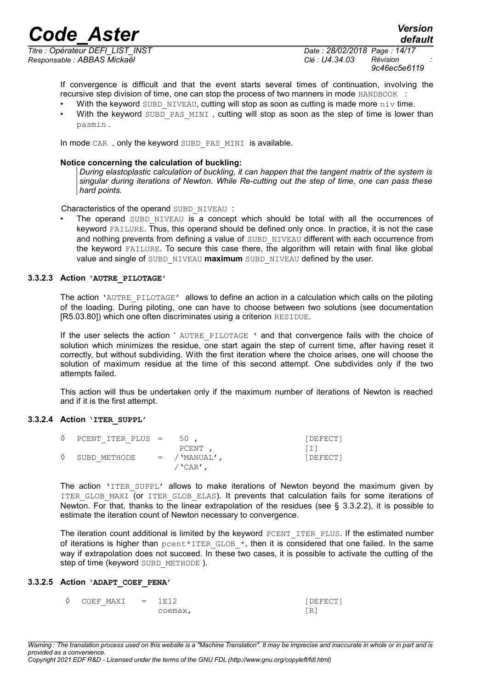*Responsable : ABBAS Mickaël Clé : U4.34.03 Révision :*

*Titre : Opérateur DEFI\_LIST\_INST Date : 28/02/2018 Page : 14/17 9c46ec5e6119*

*default*

If convergence is difficult and that the event starts several times of continuation, involving the recursive step division of time, one can stop the process of two manners in mode HANDBOOK :

- With the keyword SUBD NIVEAU, cutting will stop as soon as cutting is made more  $niv$  time.
- With the keyword  $SUBD$  PAS MINI , cutting will stop as soon as the step of time is lower than pasmin .

In mode CAR, only the keyword SUBD PAS MINI is available.

#### **Notice concerning the calculation of buckling:**

*During elastoplastic calculation of buckling, it can happen that the tangent matrix of the system is singular during iterations of Newton. While Re-cutting out the step of time, one can pass these hard points.*

Characteristics of the operand SUBD\_NIVEAU :

The operand SUBD NIVEAU is a concept which should be total with all the occurrences of keyword FAILURE. Thus, this operand should be defined only once. In practice, it is not the case and nothing prevents from defining a value of SUBD\_NIVEAU different with each occurrence from the keyword FAILURE. To secure this case there, the algorithm will retain with final like global value and single of SUBD\_NIVEAU maximum SUBD\_NIVEAU defined by the user.

#### **3.3.2.3 Action 'AUTRE\_PILOTAGE'**

<span id="page-13-2"></span>The action 'AUTRE PILOTAGE' allows to define an action in a calculation which calls on the piloting of the loading. During piloting, one can have to choose between two solutions (see documentation [R5.03.80]) which one often discriminates using a criterion RESIDUE.

If the user selects the action ' AUTRE\_PILOTAGE ' and that convergence fails with the choice of solution which minimizes the residue, one start again the step of current time, after having reset it correctly, but without subdividing. With the first iteration where the choice arises, one will choose the solution of maximum residue at the time of this second attempt. One subdivides only if the two attempts failed.

This action will thus be undertaken only if the maximum number of iterations of Newton is reached and if it is the first attempt.

#### **3.3.2.4 Action 'ITER\_SUPPL'**

<span id="page-13-1"></span>

| PCENT ITER PLUS $=$ | 50.             | [DEFECT] |
|---------------------|-----------------|----------|
|                     | PCENT,          | ו ב ז    |
| SUBD METHODE        | $=$ / 'MANUAL', | [DEFECT] |
|                     | $/$ 'CAR',      |          |

The action 'ITER SUPPL' allows to make iterations of Newton beyond the maximum given by ITER GLOB MAXI (OF ITER GLOB ELAS). It prevents that calculation fails for some iterations of Newton. For that, thanks to the linear extrapolation of the residues (see § [3.3.2.2\)](#page-10-0), it is possible to estimate the iteration count of Newton necessary to convergence.

The iteration count additional is limited by the keyword PCENT\_ITER\_PLUS. If the estimated number of iterations is higher than  $pcent*ITER$  GLOB  $*$ , then it is considered that one failed. In the same way if extrapolation does not succeed. In these two cases, it is possible to activate the cutting of the step of time (keyword SUBD\_METHODE).

#### **3.3.2.5 Action 'ADAPT\_COEF\_PENA'**

<span id="page-13-0"></span>

| $\Diamond$ COEF MAXI = 1E12 |         | [DEFECT]        |
|-----------------------------|---------|-----------------|
|                             | coemax, | R.<br><b>LV</b> |

*Copyright 2021 EDF R&D - Licensed under the terms of the GNU FDL (http://www.gnu.org/copyleft/fdl.html)*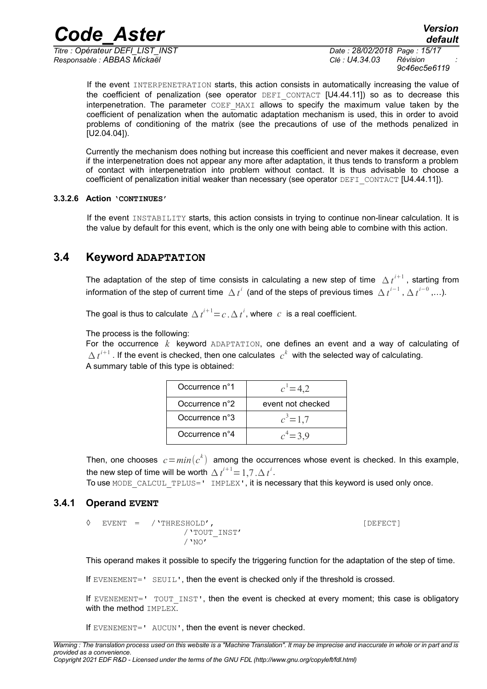*<i>Titre : Opérateur DEFI\_LIST\_INST Responsable : ABBAS Mickaël Clé : U4.34.03 Révision :*

*default 9c46ec5e6119*

If the event INTERPENETRATION starts, this action consists in automatically increasing the value of the coefficient of penalization (see operator DEFI CONTACT [U4.44.11]) so as to decrease this interpenetration. The parameter  $CDEF$  MAXI allows to specify the maximum value taken by the coefficient of penalization when the automatic adaptation mechanism is used, this in order to avoid problems of conditioning of the matrix (see the precautions of use of the methods penalized in [U2.04.04]).

Currently the mechanism does nothing but increase this coefficient and never makes it decrease, even if the interpenetration does not appear any more after adaptation, it thus tends to transform a problem of contact with interpenetration into problem without contact. It is thus advisable to choose a coefficient of penalization initial weaker than necessary (see operator DEFI\_CONTACT [U4.44.11]).

#### **3.3.2.6 Action 'CONTINUES'**

<span id="page-14-2"></span>If the event INSTABILITY starts, this action consists in trying to continue non-linear calculation. It is the value by default for this event, which is the only one with being able to combine with this action.

#### **3.4 Keyword ADAPTATION**

<span id="page-14-1"></span>The adaptation of the step of time consists in calculating a new step of time  $\Delta\,t^{i+1}$  , starting from information of the step of current time  $\Delta t^i$  (and of the steps of previous times  $\Delta t^{i-1}$  ,  $\Delta t^{i-0}$  ,…).

The goal is thus to calculate  $\Delta \, t^{i+1} \! = \! c$  .  $\Delta \, t^i$ , where  $\,$   $\,c\,$  is a real coefficient.

The process is the following:

For the occurrence *k* keyword ADAPTATION, one defines an event and a way of calculating of  $\Delta t^{i+1}$  . If the event is checked, then one calculates  $c^k$  with the selected way of calculating. A summary table of this type is obtained:

| Occurrence n°1 | $c^1 = 4.2$       |
|----------------|-------------------|
| Occurrence n°2 | event not checked |
| Occurrence n°3 | $c^3 = 1.7$       |
| Occurrence n°4 | $c^4 = 3.9$       |

Then, one chooses  $c = min(c^k)$  among the occurrences whose event is checked. In this example, the new step of time will be worth  $\Delta\, t^{i+1} \!=\! 1,7$  .  $\Delta\, t^i$  .

<span id="page-14-0"></span>To use MODE CALCUL TPLUS=' IMPLEX', it is necessary that this keyword is used only once.

#### **3.4.1 Operand EVENT**

$$
\Diamond
$$
 
$$
\Diamond
$$
 
$$
\Diamond
$$
 
$$
\Diamond
$$
 
$$
\Diamond
$$
 
$$
\Diamond
$$
 
$$
\Diamond
$$
 
$$
\Diamond
$$
 
$$
\Diamond
$$
 
$$
\Diamond
$$
 
$$
\Diamond
$$
 
$$
\Diamond
$$
 
$$
\Diamond
$$
 
$$
\Diamond
$$
 
$$
\Diamond
$$
 
$$
\Box
$$

This operand makes it possible to specify the triggering function for the adaptation of the step of time.

If EVENEMENT=' SEUIL', then the event is checked only if the threshold is crossed.

If EVENEMENT=' TOUT INST', then the event is checked at every moment; this case is obligatory with the method IMPLEX.

If EVENEMENT=' AUCUN', then the event is never checked.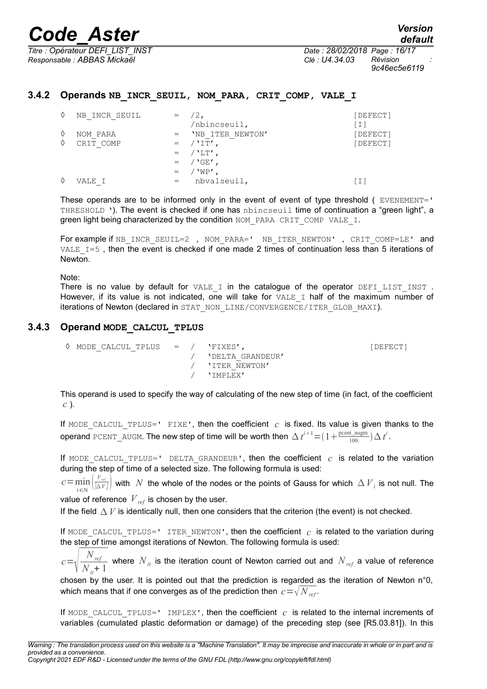*<i>Titre : Opérateur DEFI\_LIST\_INST Responsable : ABBAS Mickaël Clé : U4.34.03 Révision :*

*9c46ec5e6119*

#### **3.4.2 Operands NB\_INCR\_SEUIL, NOM\_PARA, CRIT\_COMP, VALE\_I**

<span id="page-15-1"></span>

| ♦ | NB INCR SEUIL |         | $=$ $/2$ ,                                                     | [DEFECT] |
|---|---------------|---------|----------------------------------------------------------------|----------|
|   |               |         | /nbincseuil,                                                   | [ I ]    |
| ♦ | NOM PARA      |         | 'NB ITER NEWTON'                                               | [DEFECT] |
| ♦ | CRIT COMP     |         | $=$ / $\Gamma$ ,                                               | [DEFECT] |
|   |               |         | $=$ $/$ $^{\circ}$ $^{\circ}$ $^{\circ}$ $^{\circ}$ $^{\circ}$ |          |
|   |               |         | $=$ $/$ $\sqrt{E'}$ ,                                          |          |
|   |               |         | $=$ $/$ $W$ P',                                                |          |
| ♦ | VALE I        | $=$ $-$ | nbvalseuil,                                                    | ובו      |

These operands are to be informed only in the event of event of type threshold ( $EVENEMENT=$ ' THRESHOLD '). The event is checked if one has nbincseuil time of continuation a "green light", a green light being characterized by the condition NOM\_PARA CRIT\_COMP\_VALE\_I.

For example if NB\_INCR\_SEUIL=2, NOM\_PARA=' NB\_ITER\_NEWTON', CRIT\_COMP=LE' and VALE  $I=5$ , then the event is checked if one made 2 times of continuation less than 5 iterations of Newton.

Note:

There is no value by default for  $VATEI$  in the catalogue of the operator DEFILIST INST. However, if its value is not indicated, one will take for  $VALE$  I half of the maximum number of iterations of Newton (declared in STAT\_NON\_LINE/CONVERGENCE/ITER\_GLOB\_MAXI).

#### **3.4.3 Operand MODE\_CALCUL\_TPLUS**

<span id="page-15-0"></span>◊ MODE\_CALCUL\_TPLUS = / 'FIXES', [DEFECT] / 'DELTA\_GRANDEUR' / 'ITER\_NEWTON' / 'IMPLEX'

This operand is used to specify the way of calculating of the new step of time (in fact, of the coefficient *c* ).

If MODE CALCUL TPLUS=' FIXE', then the coefficient  $c$  is fixed. Its value is given thanks to the operand <code>PCENT\_AUGM</code>. The new step of time will be worth then  $\Delta t^{i+1}$   $=$   $(1+\frac{\text{pcent\_augm}}{100})\Delta t^i$ .

If MODE CALCUL TPLUS=' DELTA GRANDEUR', then the coefficient  $c$  is related to the variation during the step of time of a selected size. The following formula is used:

 $c = min$ <sub>I</sub> i∈N  $\frac{V_{\pi f}}{|\Delta V_i|}$  with  $|N|$  the whole of the nodes or the points of Gauss for which  $|\Delta |V_i|$  is not null. The value of reference  $V_{ref}$  is chosen by the user.

If the field  $\Delta V$  is identically null, then one considers that the criterion (the event) is not checked.

If MODE CALCUL TPLUS=' ITER NEWTON', then the coefficient  $c$  is related to the variation during the step of time amongst iterations of Newton. The following formula is used:

 $c=\sqrt{\frac{N}{N_i}}$ *Nref Nit*+ 1 where  $N_{it}$  is the iteration count of Newton carried out and  $N_{ref}$  a value of reference

chosen by the user. It is pointed out that the prediction is regarded as the iteration of Newton n°0, which means that if one converges as of the prediction then  $c=\sqrt{N_{ref}}$ .

If MODE CALCUL TPLUS=' IMPLEX', then the coefficient  $c$  is related to the internal increments of variables (cumulated plastic deformation or damage) of the preceding step (see [R5.03.81]). In this